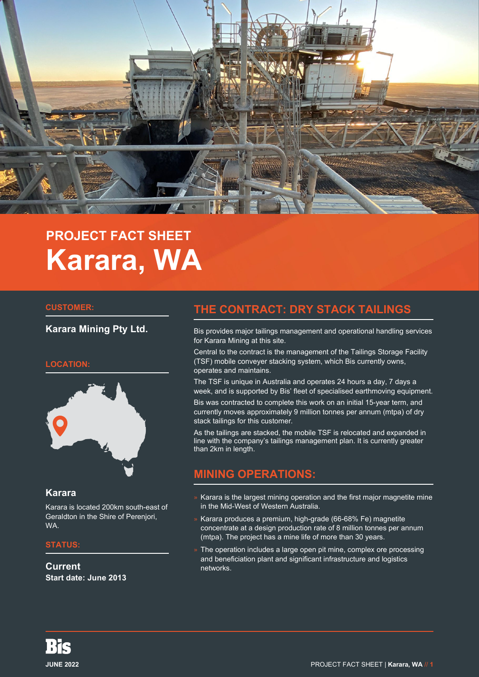

# **PROJECT FACT SHEET Karara, WA**

#### **CUSTOMER:**

**Karara Mining Pty Ltd.**

#### **LOCATION:**



### **Karara**

Karara is located 200km south-east of Geraldton in the Shire of Perenjori, WA.

#### **STATUS:**

**Current Start date: June 2013**

# **THE CONTRACT: DRY STACK TAILINGS**

Bis provides major tailings management and operational handling services for Karara Mining at this site.

Central to the contract is the management of the Tailings Storage Facility (TSF) mobile conveyer stacking system, which Bis currently owns, operates and maintains.

The TSF is unique in Australia and operates 24 hours a day, 7 days a week, and is supported by Bis' fleet of specialised earthmoving equipment.

Bis was contracted to complete this work on an initial 15-year term, and currently moves approximately 9 million tonnes per annum (mtpa) of dry stack tailings for this customer.

As the tailings are stacked, the mobile TSF is relocated and expanded in line with the company's tailings management plan. It is currently greater than 2km in length.

# **MINING OPERATIONS:**

- » Karara is the largest mining operation and the first major magnetite mine in the Mid-West of Western Australia.
- » Karara produces a premium, high-grade (66-68% Fe) magnetite concentrate at a design production rate of 8 million tonnes per annum (mtpa). The project has a mine life of more than 30 years.
- » The operation includes a large open pit mine, complex ore processing and beneficiation plant and significant infrastructure and logistics networks.